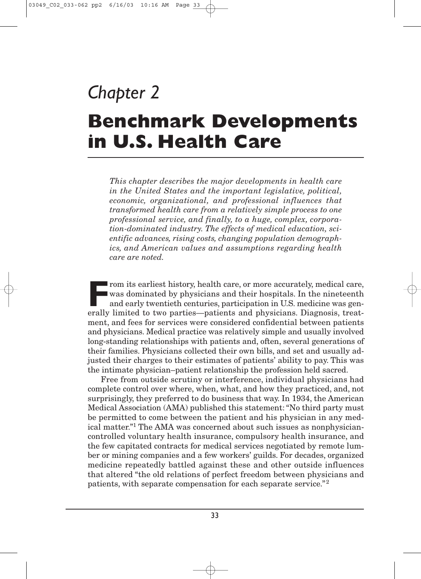# *Chapter 2* **Benchmark Developments in U.S. Health Care**

*This chapter describes the major developments in health care in the United States and the important legislative, political, economic, organizational, and professional influences that transformed health care from a relatively simple process to one professional service, and finally, to a huge, complex, corporation-dominated industry. The effects of medical education, scientific advances, rising costs, changing population demographics, and American values and assumptions regarding health care are noted.*

From its earliest history, health care, or more accurately, medical care, was dominated by physicians and their hospitals. In the nineteenth and early twentieth centuries, participation in U.S. medicine was generally limit was dominated by physicians and their hospitals. In the nineteenth and early twentieth centuries, participation in U.S. medicine was generally limited to two parties—patients and physicians. Diagnosis, treatment, and fees for services were considered confidential between patients and physicians. Medical practice was relatively simple and usually involved long-standing relationships with patients and, often, several generations of their families. Physicians collected their own bills, and set and usually adjusted their charges to their estimates of patients' ability to pay. This was the intimate physician–patient relationship the profession held sacred.

Free from outside scrutiny or interference, individual physicians had complete control over where, when, what, and how they practiced, and, not surprisingly, they preferred to do business that way. In 1934, the American Medical Association (AMA) published this statement: "No third party must be permitted to come between the patient and his physician in any medical matter."1 The AMA was concerned about such issues as nonphysiciancontrolled voluntary health insurance, compulsory health insurance, and the few capitated contracts for medical services negotiated by remote lumber or mining companies and a few workers' guilds. For decades, organized medicine repeatedly battled against these and other outside influences that altered "the old relations of perfect freedom between physicians and patients, with separate compensation for each separate service." <sup>2</sup>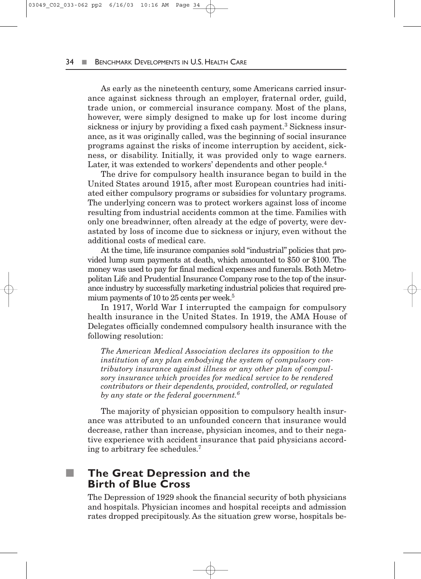As early as the nineteenth century, some Americans carried insurance against sickness through an employer, fraternal order, guild, trade union, or commercial insurance company. Most of the plans, however, were simply designed to make up for lost income during sickness or injury by providing a fixed cash payment.<sup>3</sup> Sickness insurance, as it was originally called, was the beginning of social insurance programs against the risks of income interruption by accident, sickness, or disability. Initially, it was provided only to wage earners. Later, it was extended to workers' dependents and other people.<sup>4</sup>

The drive for compulsory health insurance began to build in the United States around 1915, after most European countries had initiated either compulsory programs or subsidies for voluntary programs. The underlying concern was to protect workers against loss of income resulting from industrial accidents common at the time. Families with only one breadwinner, often already at the edge of poverty, were devastated by loss of income due to sickness or injury, even without the additional costs of medical care.

At the time, life insurance companies sold "industrial" policies that provided lump sum payments at death, which amounted to \$50 or \$100. The money was used to pay for final medical expenses and funerals. Both Metropolitan Life and Prudential Insurance Company rose to the top of the insurance industry by successfully marketing industrial policies that required premium payments of 10 to 25 cents per week.<sup>5</sup>

In 1917, World War I interrupted the campaign for compulsory health insurance in the United States. In 1919, the AMA House of Delegates officially condemned compulsory health insurance with the following resolution:

*The American Medical Association declares its opposition to the institution of any plan embodying the system of compulsory contributory insurance against illness or any other plan of compulsory insurance which provides for medical service to be rendered contributors or their dependents, provided, controlled, or regulated by any state or the federal government.6*

The majority of physician opposition to compulsory health insurance was attributed to an unfounded concern that insurance would decrease, rather than increase, physician incomes, and to their negative experience with accident insurance that paid physicians according to arbitrary fee schedules.7

## **The Great Depression and the Birth of Blue Cross**

The Depression of 1929 shook the financial security of both physicians and hospitals. Physician incomes and hospital receipts and admission rates dropped precipitously. As the situation grew worse, hospitals be-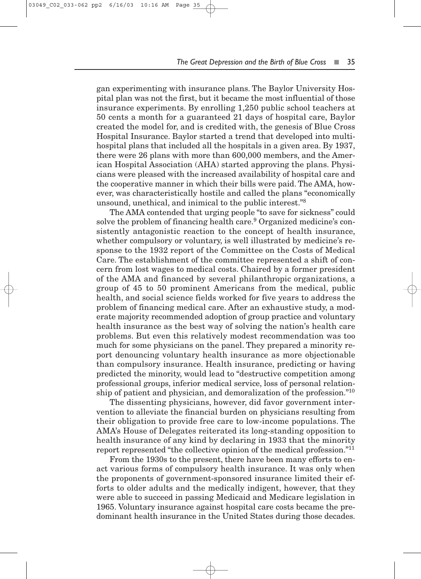gan experimenting with insurance plans. The Baylor University Hospital plan was not the first, but it became the most influential of those insurance experiments. By enrolling 1,250 public school teachers at 50 cents a month for a guaranteed 21 days of hospital care, Baylor created the model for, and is credited with, the genesis of Blue Cross Hospital Insurance. Baylor started a trend that developed into multihospital plans that included all the hospitals in a given area. By 1937, there were 26 plans with more than 600,000 members, and the American Hospital Association (AHA) started approving the plans. Physicians were pleased with the increased availability of hospital care and the cooperative manner in which their bills were paid. The AMA, however, was characteristically hostile and called the plans "economically unsound, unethical, and inimical to the public interest."8

The AMA contended that urging people "to save for sickness" could solve the problem of financing health care.9 Organized medicine's consistently antagonistic reaction to the concept of health insurance, whether compulsory or voluntary, is well illustrated by medicine's response to the 1932 report of the Committee on the Costs of Medical Care. The establishment of the committee represented a shift of concern from lost wages to medical costs. Chaired by a former president of the AMA and financed by several philanthropic organizations, a group of 45 to 50 prominent Americans from the medical, public health, and social science fields worked for five years to address the problem of financing medical care. After an exhaustive study, a moderate majority recommended adoption of group practice and voluntary health insurance as the best way of solving the nation's health care problems. But even this relatively modest recommendation was too much for some physicians on the panel. They prepared a minority report denouncing voluntary health insurance as more objectionable than compulsory insurance. Health insurance, predicting or having predicted the minority, would lead to "destructive competition among professional groups, inferior medical service, loss of personal relationship of patient and physician, and demoralization of the profession."10

The dissenting physicians, however, did favor government intervention to alleviate the financial burden on physicians resulting from their obligation to provide free care to low-income populations. The AMA's House of Delegates reiterated its long-standing opposition to health insurance of any kind by declaring in 1933 that the minority report represented "the collective opinion of the medical profession."11

From the 1930s to the present, there have been many efforts to enact various forms of compulsory health insurance. It was only when the proponents of government-sponsored insurance limited their efforts to older adults and the medically indigent, however, that they were able to succeed in passing Medicaid and Medicare legislation in 1965. Voluntary insurance against hospital care costs became the predominant health insurance in the United States during those decades.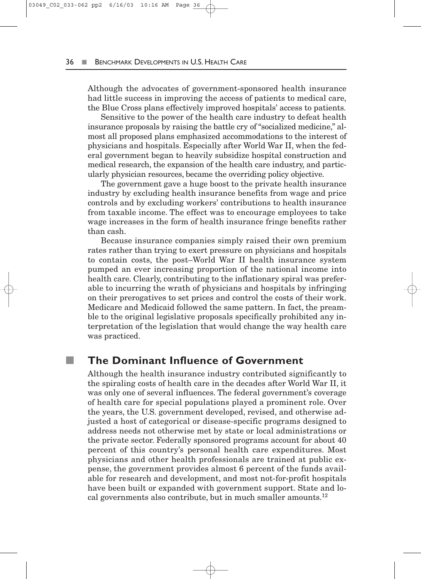03049 C02 033-062 pp2 6/16/03 10:16 AM

Although the advocates of government-sponsored health insurance had little success in improving the access of patients to medical care, the Blue Cross plans effectively improved hospitals' access to patients.

Sensitive to the power of the health care industry to defeat health insurance proposals by raising the battle cry of "socialized medicine," almost all proposed plans emphasized accommodations to the interest of physicians and hospitals. Especially after World War II, when the federal government began to heavily subsidize hospital construction and medical research, the expansion of the health care industry, and particularly physician resources, became the overriding policy objective.

The government gave a huge boost to the private health insurance industry by excluding health insurance benefits from wage and price controls and by excluding workers' contributions to health insurance from taxable income. The effect was to encourage employees to take wage increases in the form of health insurance fringe benefits rather than cash.

Because insurance companies simply raised their own premium rates rather than trying to exert pressure on physicians and hospitals to contain costs, the post–World War II health insurance system pumped an ever increasing proportion of the national income into health care. Clearly, contributing to the inflationary spiral was preferable to incurring the wrath of physicians and hospitals by infringing on their prerogatives to set prices and control the costs of their work. Medicare and Medicaid followed the same pattern. In fact, the preamble to the original legislative proposals specifically prohibited any interpretation of the legislation that would change the way health care was practiced.

## ■ **The Dominant Influence of Government**

Although the health insurance industry contributed significantly to the spiraling costs of health care in the decades after World War II, it was only one of several influences. The federal government's coverage of health care for special populations played a prominent role. Over the years, the U.S. government developed, revised, and otherwise adjusted a host of categorical or disease-specific programs designed to address needs not otherwise met by state or local administrations or the private sector. Federally sponsored programs account for about 40 percent of this country's personal health care expenditures. Most physicians and other health professionals are trained at public expense, the government provides almost 6 percent of the funds available for research and development, and most not-for-profit hospitals have been built or expanded with government support. State and local governments also contribute, but in much smaller amounts.12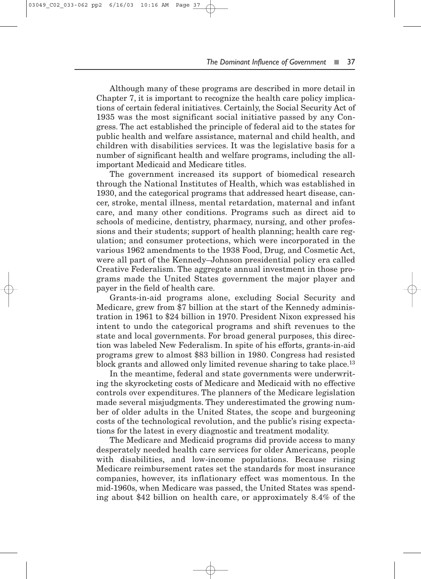Although many of these programs are described in more detail in Chapter 7, it is important to recognize the health care policy implications of certain federal initiatives. Certainly, the Social Security Act of 1935 was the most significant social initiative passed by any Congress. The act established the principle of federal aid to the states for public health and welfare assistance, maternal and child health, and children with disabilities services. It was the legislative basis for a number of significant health and welfare programs, including the allimportant Medicaid and Medicare titles.

The government increased its support of biomedical research through the National Institutes of Health, which was established in 1930, and the categorical programs that addressed heart disease, cancer, stroke, mental illness, mental retardation, maternal and infant care, and many other conditions. Programs such as direct aid to schools of medicine, dentistry, pharmacy, nursing, and other professions and their students; support of health planning; health care regulation; and consumer protections, which were incorporated in the various 1962 amendments to the 1938 Food, Drug, and Cosmetic Act, were all part of the Kennedy–Johnson presidential policy era called Creative Federalism. The aggregate annual investment in those programs made the United States government the major player and payer in the field of health care.

Grants-in-aid programs alone, excluding Social Security and Medicare, grew from \$7 billion at the start of the Kennedy administration in 1961 to \$24 billion in 1970. President Nixon expressed his intent to undo the categorical programs and shift revenues to the state and local governments. For broad general purposes, this direction was labeled New Federalism. In spite of his efforts, grants-in-aid programs grew to almost \$83 billion in 1980. Congress had resisted block grants and allowed only limited revenue sharing to take place.<sup>13</sup>

In the meantime, federal and state governments were underwriting the skyrocketing costs of Medicare and Medicaid with no effective controls over expenditures. The planners of the Medicare legislation made several misjudgments. They underestimated the growing number of older adults in the United States, the scope and burgeoning costs of the technological revolution, and the public's rising expectations for the latest in every diagnostic and treatment modality.

The Medicare and Medicaid programs did provide access to many desperately needed health care services for older Americans, people with disabilities, and low-income populations. Because rising Medicare reimbursement rates set the standards for most insurance companies, however, its inflationary effect was momentous. In the mid-1960s, when Medicare was passed, the United States was spending about \$42 billion on health care, or approximately 8.4% of the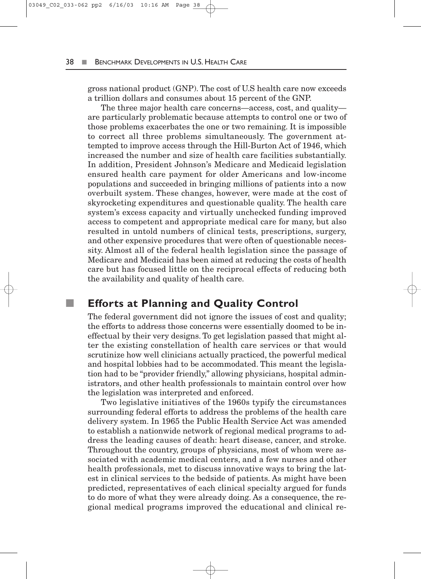gross national product (GNP). The cost of U.S health care now exceeds a trillion dollars and consumes about 15 percent of the GNP.

The three major health care concerns—access, cost, and quality are particularly problematic because attempts to control one or two of those problems exacerbates the one or two remaining. It is impossible to correct all three problems simultaneously. The government attempted to improve access through the Hill-Burton Act of 1946, which increased the number and size of health care facilities substantially. In addition, President Johnson's Medicare and Medicaid legislation ensured health care payment for older Americans and low-income populations and succeeded in bringing millions of patients into a now overbuilt system. These changes, however, were made at the cost of skyrocketing expenditures and questionable quality. The health care system's excess capacity and virtually unchecked funding improved access to competent and appropriate medical care for many, but also resulted in untold numbers of clinical tests, prescriptions, surgery, and other expensive procedures that were often of questionable necessity. Almost all of the federal health legislation since the passage of Medicare and Medicaid has been aimed at reducing the costs of health care but has focused little on the reciprocal effects of reducing both the availability and quality of health care.

## **Efforts at Planning and Quality Control**

The federal government did not ignore the issues of cost and quality; the efforts to address those concerns were essentially doomed to be ineffectual by their very designs. To get legislation passed that might alter the existing constellation of health care services or that would scrutinize how well clinicians actually practiced, the powerful medical and hospital lobbies had to be accommodated. This meant the legislation had to be "provider friendly," allowing physicians, hospital administrators, and other health professionals to maintain control over how the legislation was interpreted and enforced.

Two legislative initiatives of the 1960s typify the circumstances surrounding federal efforts to address the problems of the health care delivery system. In 1965 the Public Health Service Act was amended to establish a nationwide network of regional medical programs to address the leading causes of death: heart disease, cancer, and stroke. Throughout the country, groups of physicians, most of whom were associated with academic medical centers, and a few nurses and other health professionals, met to discuss innovative ways to bring the latest in clinical services to the bedside of patients. As might have been predicted, representatives of each clinical specialty argued for funds to do more of what they were already doing. As a consequence, the regional medical programs improved the educational and clinical re-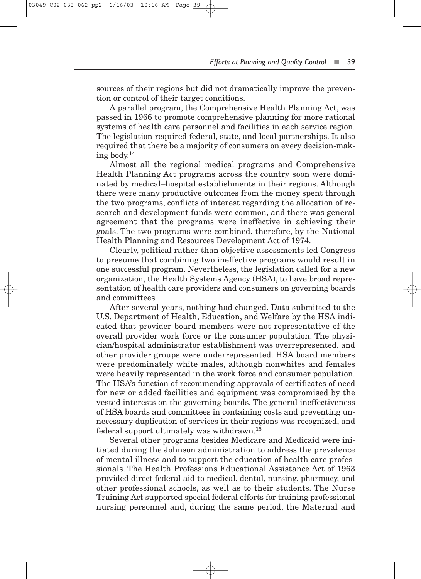sources of their regions but did not dramatically improve the prevention or control of their target conditions.

A parallel program, the Comprehensive Health Planning Act, was passed in 1966 to promote comprehensive planning for more rational systems of health care personnel and facilities in each service region. The legislation required federal, state, and local partnerships. It also required that there be a majority of consumers on every decision-making body.14

Almost all the regional medical programs and Comprehensive Health Planning Act programs across the country soon were dominated by medical–hospital establishments in their regions. Although there were many productive outcomes from the money spent through the two programs, conflicts of interest regarding the allocation of research and development funds were common, and there was general agreement that the programs were ineffective in achieving their goals. The two programs were combined, therefore, by the National Health Planning and Resources Development Act of 1974.

Clearly, political rather than objective assessments led Congress to presume that combining two ineffective programs would result in one successful program. Nevertheless, the legislation called for a new organization, the Health Systems Agency (HSA), to have broad representation of health care providers and consumers on governing boards and committees.

After several years, nothing had changed. Data submitted to the U.S. Department of Health, Education, and Welfare by the HSA indicated that provider board members were not representative of the overall provider work force or the consumer population. The physician/hospital administrator establishment was overrepresented, and other provider groups were underrepresented. HSA board members were predominately white males, although nonwhites and females were heavily represented in the work force and consumer population. The HSA's function of recommending approvals of certificates of need for new or added facilities and equipment was compromised by the vested interests on the governing boards. The general ineffectiveness of HSA boards and committees in containing costs and preventing unnecessary duplication of services in their regions was recognized, and federal support ultimately was withdrawn.15

Several other programs besides Medicare and Medicaid were initiated during the Johnson administration to address the prevalence of mental illness and to support the education of health care professionals. The Health Professions Educational Assistance Act of 1963 provided direct federal aid to medical, dental, nursing, pharmacy, and other professional schools, as well as to their students. The Nurse Training Act supported special federal efforts for training professional nursing personnel and, during the same period, the Maternal and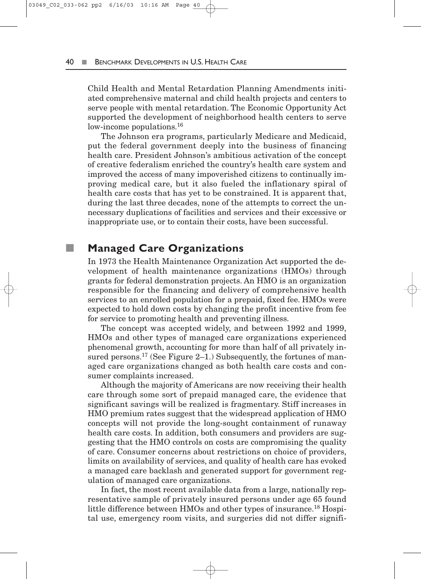Child Health and Mental Retardation Planning Amendments initiated comprehensive maternal and child health projects and centers to serve people with mental retardation. The Economic Opportunity Act supported the development of neighborhood health centers to serve low-income populations.<sup>16</sup>

The Johnson era programs, particularly Medicare and Medicaid, put the federal government deeply into the business of financing health care. President Johnson's ambitious activation of the concept of creative federalism enriched the country's health care system and improved the access of many impoverished citizens to continually improving medical care, but it also fueled the inflationary spiral of health care costs that has yet to be constrained. It is apparent that, during the last three decades, none of the attempts to correct the unnecessary duplications of facilities and services and their excessive or inappropriate use, or to contain their costs, have been successful.

## **Managed Care Organizations**

In 1973 the Health Maintenance Organization Act supported the development of health maintenance organizations (HMOs) through grants for federal demonstration projects. An HMO is an organization responsible for the financing and delivery of comprehensive health services to an enrolled population for a prepaid, fixed fee. HMOs were expected to hold down costs by changing the profit incentive from fee for service to promoting health and preventing illness.

The concept was accepted widely, and between 1992 and 1999, HMOs and other types of managed care organizations experienced phenomenal growth, accounting for more than half of all privately insured persons.<sup>17</sup> (See Figure 2–1.) Subsequently, the fortunes of managed care organizations changed as both health care costs and consumer complaints increased.

Although the majority of Americans are now receiving their health care through some sort of prepaid managed care, the evidence that significant savings will be realized is fragmentary. Stiff increases in HMO premium rates suggest that the widespread application of HMO concepts will not provide the long-sought containment of runaway health care costs. In addition, both consumers and providers are suggesting that the HMO controls on costs are compromising the quality of care. Consumer concerns about restrictions on choice of providers, limits on availability of services, and quality of health care has evoked a managed care backlash and generated support for government regulation of managed care organizations.

In fact, the most recent available data from a large, nationally representative sample of privately insured persons under age 65 found little difference between HMOs and other types of insurance.18 Hospital use, emergency room visits, and surgeries did not differ signifi-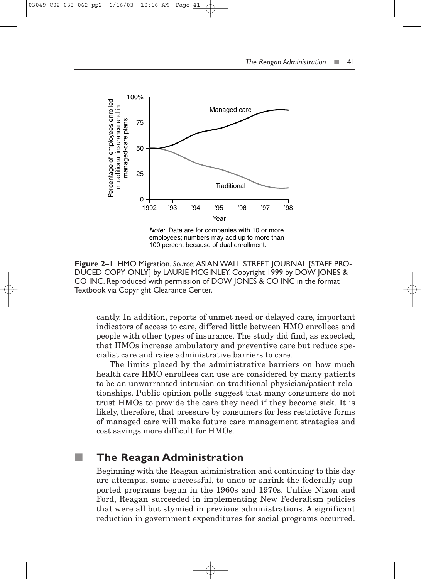

Note: Data are for companies with 10 or more employees; numbers may add up to more than 100 percent because of dual enrollment.

**Figure 2–1** HMO Migration. *Source:* ASIAN WALL STREET JOURNAL [STAFF PRO-DUCED COPY ONLY] by LAURIE MCGINLEY. Copyright 1999 by DOW JONES & CO INC. Reproduced with permission of DOW JONES & CO INC in the format Textbook via Copyright Clearance Center.

cantly. In addition, reports of unmet need or delayed care, important indicators of access to care, differed little between HMO enrollees and people with other types of insurance. The study did find, as expected, that HMOs increase ambulatory and preventive care but reduce specialist care and raise administrative barriers to care.

The limits placed by the administrative barriers on how much health care HMO enrollees can use are considered by many patients to be an unwarranted intrusion on traditional physician/patient relationships. Public opinion polls suggest that many consumers do not trust HMOs to provide the care they need if they become sick. It is likely, therefore, that pressure by consumers for less restrictive forms of managed care will make future care management strategies and cost savings more difficult for HMOs.

## **The Reagan Administration**

Beginning with the Reagan administration and continuing to this day are attempts, some successful, to undo or shrink the federally supported programs begun in the 1960s and 1970s. Unlike Nixon and Ford, Reagan succeeded in implementing New Federalism policies that were all but stymied in previous administrations. A significant reduction in government expenditures for social programs occurred.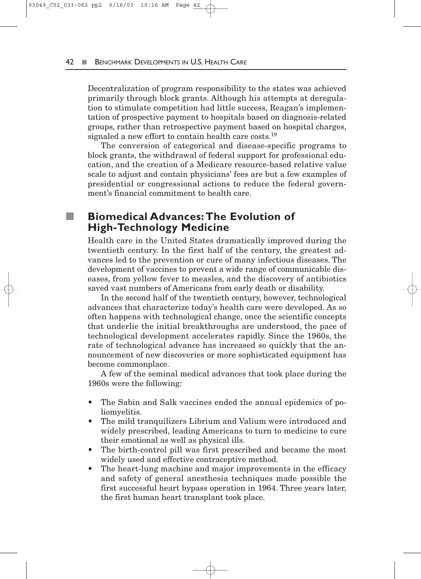Decentralization of program responsibility to the states was achieved primarily through block grants. Although his attempts at deregulation to stimulate competition had little success, Reagan's implementation of prospective payment to hospitals based on diagnosis-related groups, rather than retrospective payment based on hospital charges, signaled a new effort to contain health care costs.<sup>19</sup>

The conversion of categorical and disease-specific programs to block grants, the withdrawal of federal support for professional education, and the creation of a Medicare resource-based relative value scale to adjust and contain physicians' fees are but a few examples of presidential or congressional actions to reduce the federal government's financial commitment to health care.

## **Biomedical Advances: The Evolution of High-Technology Medicine**

Health care in the United States dramatically improved during the twentieth century. In the first half of the century, the greatest advances led to the prevention or cure of many infectious diseases. The development of vaccines to prevent a wide range of communicable diseases, from yellow fever to measles, and the discovery of antibiotics saved vast numbers of Americans from early death or disability.

In the second half of the twentieth century, however, technological advances that characterize today's health care were developed. As so often happens with technological change, once the scientific concepts that underlie the initial breakthroughs are understood, the pace of technological development accelerates rapidly. Since the 1960s, the rate of technological advance has increased so quickly that the announcement of new discoveries or more sophisticated equipment has become commonplace.

A few of the seminal medical advances that took place during the 1960s were the following:

- The Sabin and Salk vaccines ended the annual epidemics of poliomyelitis.
- The mild tranquilizers Librium and Valium were introduced and widely prescribed, leading Americans to turn to medicine to cure their emotional as well as physical ills.
- The birth-control pill was first prescribed and became the most widely used and effective contraceptive method.
- The heart-lung machine and major improvements in the efficacy and safety of general anesthesia techniques made possible the first successful heart bypass operation in 1964. Three years later, the first human heart transplant took place.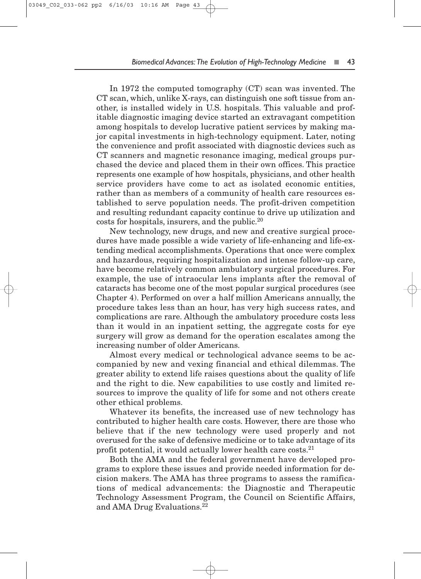03049\_C02\_033-062 pp2 6/16/03 10:16 AM

In 1972 the computed tomography (CT) scan was invented. The CT scan, which, unlike X-rays, can distinguish one soft tissue from another, is installed widely in U.S. hospitals. This valuable and profitable diagnostic imaging device started an extravagant competition among hospitals to develop lucrative patient services by making major capital investments in high-technology equipment. Later, noting the convenience and profit associated with diagnostic devices such as CT scanners and magnetic resonance imaging, medical groups purchased the device and placed them in their own offices. This practice represents one example of how hospitals, physicians, and other health service providers have come to act as isolated economic entities, rather than as members of a community of health care resources established to serve population needs. The profit-driven competition and resulting redundant capacity continue to drive up utilization and costs for hospitals, insurers, and the public.20

New technology, new drugs, and new and creative surgical procedures have made possible a wide variety of life-enhancing and life-extending medical accomplishments. Operations that once were complex and hazardous, requiring hospitalization and intense follow-up care, have become relatively common ambulatory surgical procedures. For example, the use of intraocular lens implants after the removal of cataracts has become one of the most popular surgical procedures (see Chapter 4). Performed on over a half million Americans annually, the procedure takes less than an hour, has very high success rates, and complications are rare. Although the ambulatory procedure costs less than it would in an inpatient setting, the aggregate costs for eye surgery will grow as demand for the operation escalates among the increasing number of older Americans.

Almost every medical or technological advance seems to be accompanied by new and vexing financial and ethical dilemmas. The greater ability to extend life raises questions about the quality of life and the right to die. New capabilities to use costly and limited resources to improve the quality of life for some and not others create other ethical problems.

Whatever its benefits, the increased use of new technology has contributed to higher health care costs. However, there are those who believe that if the new technology were used properly and not overused for the sake of defensive medicine or to take advantage of its profit potential, it would actually lower health care costs.<sup>21</sup>

Both the AMA and the federal government have developed programs to explore these issues and provide needed information for decision makers. The AMA has three programs to assess the ramifications of medical advancements: the Diagnostic and Therapeutic Technology Assessment Program, the Council on Scientific Affairs, and AMA Drug Evaluations.<sup>22</sup>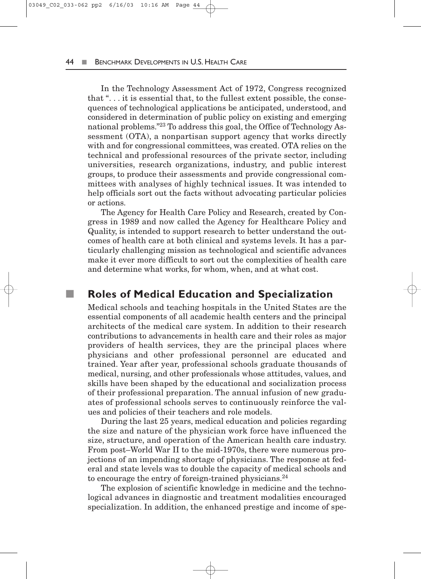In the Technology Assessment Act of 1972, Congress recognized that ". . . it is essential that, to the fullest extent possible, the consequences of technological applications be anticipated, understood, and considered in determination of public policy on existing and emerging national problems."23 To address this goal, the Office of Technology Assessment (OTA), a nonpartisan support agency that works directly with and for congressional committees, was created. OTA relies on the technical and professional resources of the private sector, including universities, research organizations, industry, and public interest groups, to produce their assessments and provide congressional committees with analyses of highly technical issues. It was intended to help officials sort out the facts without advocating particular policies or actions.

The Agency for Health Care Policy and Research, created by Congress in 1989 and now called the Agency for Healthcare Policy and Quality, is intended to support research to better understand the outcomes of health care at both clinical and systems levels. It has a particularly challenging mission as technological and scientific advances make it ever more difficult to sort out the complexities of health care and determine what works, for whom, when, and at what cost.

## **Roles of Medical Education and Specialization**

Medical schools and teaching hospitals in the United States are the essential components of all academic health centers and the principal architects of the medical care system. In addition to their research contributions to advancements in health care and their roles as major providers of health services, they are the principal places where physicians and other professional personnel are educated and trained. Year after year, professional schools graduate thousands of medical, nursing, and other professionals whose attitudes, values, and skills have been shaped by the educational and socialization process of their professional preparation. The annual infusion of new graduates of professional schools serves to continuously reinforce the values and policies of their teachers and role models.

During the last 25 years, medical education and policies regarding the size and nature of the physician work force have influenced the size, structure, and operation of the American health care industry. From post–World War II to the mid-1970s, there were numerous projections of an impending shortage of physicians. The response at federal and state levels was to double the capacity of medical schools and to encourage the entry of foreign-trained physicians.<sup>24</sup>

The explosion of scientific knowledge in medicine and the technological advances in diagnostic and treatment modalities encouraged specialization. In addition, the enhanced prestige and income of spe-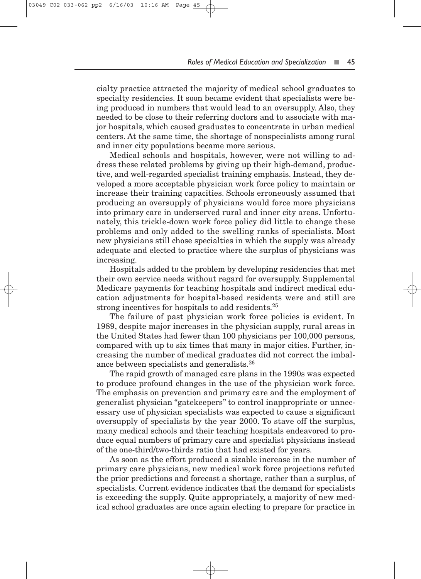cialty practice attracted the majority of medical school graduates to specialty residencies. It soon became evident that specialists were being produced in numbers that would lead to an oversupply. Also, they needed to be close to their referring doctors and to associate with major hospitals, which caused graduates to concentrate in urban medical centers. At the same time, the shortage of nonspecialists among rural and inner city populations became more serious.

Medical schools and hospitals, however, were not willing to address these related problems by giving up their high-demand, productive, and well-regarded specialist training emphasis. Instead, they developed a more acceptable physician work force policy to maintain or increase their training capacities. Schools erroneously assumed that producing an oversupply of physicians would force more physicians into primary care in underserved rural and inner city areas. Unfortunately, this trickle-down work force policy did little to change these problems and only added to the swelling ranks of specialists. Most new physicians still chose specialties in which the supply was already adequate and elected to practice where the surplus of physicians was increasing.

Hospitals added to the problem by developing residencies that met their own service needs without regard for oversupply. Supplemental Medicare payments for teaching hospitals and indirect medical education adjustments for hospital-based residents were and still are strong incentives for hospitals to add residents.<sup>25</sup>

The failure of past physician work force policies is evident. In 1989, despite major increases in the physician supply, rural areas in the United States had fewer than 100 physicians per 100,000 persons, compared with up to six times that many in major cities. Further, increasing the number of medical graduates did not correct the imbalance between specialists and generalists.26

The rapid growth of managed care plans in the 1990s was expected to produce profound changes in the use of the physician work force. The emphasis on prevention and primary care and the employment of generalist physician "gatekeepers" to control inappropriate or unnecessary use of physician specialists was expected to cause a significant oversupply of specialists by the year 2000. To stave off the surplus, many medical schools and their teaching hospitals endeavored to produce equal numbers of primary care and specialist physicians instead of the one-third/two-thirds ratio that had existed for years.

As soon as the effort produced a sizable increase in the number of primary care physicians, new medical work force projections refuted the prior predictions and forecast a shortage, rather than a surplus, of specialists. Current evidence indicates that the demand for specialists is exceeding the supply. Quite appropriately, a majority of new medical school graduates are once again electing to prepare for practice in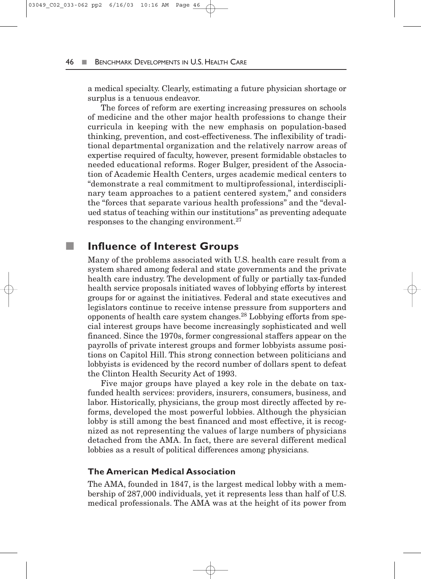a medical specialty. Clearly, estimating a future physician shortage or surplus is a tenuous endeavor.

The forces of reform are exerting increasing pressures on schools of medicine and the other major health professions to change their curricula in keeping with the new emphasis on population-based thinking, prevention, and cost-effectiveness. The inflexibility of traditional departmental organization and the relatively narrow areas of expertise required of faculty, however, present formidable obstacles to needed educational reforms. Roger Bulger, president of the Association of Academic Health Centers, urges academic medical centers to "demonstrate a real commitment to multiprofessional, interdisciplinary team approaches to a patient centered system," and considers the "forces that separate various health professions" and the "devalued status of teaching within our institutions" as preventing adequate responses to the changing environment.<sup>27</sup>

## ■ **Influence of Interest Groups**

Many of the problems associated with U.S. health care result from a system shared among federal and state governments and the private health care industry. The development of fully or partially tax-funded health service proposals initiated waves of lobbying efforts by interest groups for or against the initiatives. Federal and state executives and legislators continue to receive intense pressure from supporters and opponents of health care system changes.28 Lobbying efforts from special interest groups have become increasingly sophisticated and well financed. Since the 1970s, former congressional staffers appear on the payrolls of private interest groups and former lobbyists assume positions on Capitol Hill. This strong connection between politicians and lobbyists is evidenced by the record number of dollars spent to defeat the Clinton Health Security Act of 1993.

Five major groups have played a key role in the debate on taxfunded health services: providers, insurers, consumers, business, and labor. Historically, physicians, the group most directly affected by reforms, developed the most powerful lobbies. Although the physician lobby is still among the best financed and most effective, it is recognized as not representing the values of large numbers of physicians detached from the AMA. In fact, there are several different medical lobbies as a result of political differences among physicians.

#### **The American Medical Association**

The AMA, founded in 1847, is the largest medical lobby with a membership of 287,000 individuals, yet it represents less than half of U.S. medical professionals. The AMA was at the height of its power from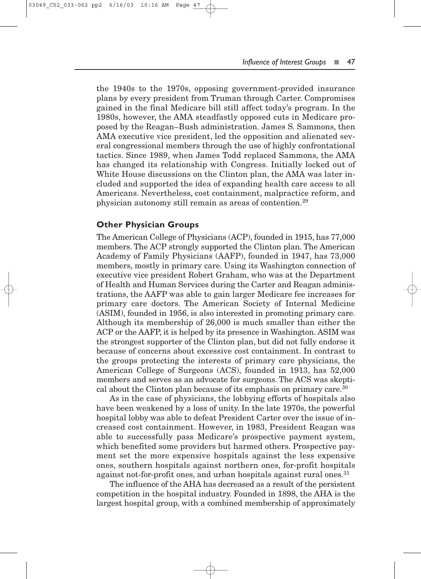the 1940s to the 1970s, opposing government-provided insurance plans by every president from Truman through Carter. Compromises gained in the final Medicare bill still affect today's program. In the 1980s, however, the AMA steadfastly opposed cuts in Medicare proposed by the Reagan–Bush administration. James S. Sammons, then AMA executive vice president, led the opposition and alienated several congressional members through the use of highly confrontational tactics. Since 1989, when James Todd replaced Sammons, the AMA has changed its relationship with Congress. Initially locked out of White House discussions on the Clinton plan, the AMA was later included and supported the idea of expanding health care access to all Americans. Nevertheless, cost containment, malpractice reform, and physician autonomy still remain as areas of contention.29

#### **Other Physician Groups**

The American College of Physicians (ACP), founded in 1915, has 77,000 members. The ACP strongly supported the Clinton plan. The American Academy of Family Physicians (AAFP), founded in 1947, has 73,000 members, mostly in primary care. Using its Washington connection of executive vice president Robert Graham, who was at the Department of Health and Human Services during the Carter and Reagan administrations, the AAFP was able to gain larger Medicare fee increases for primary care doctors. The American Society of Internal Medicine (ASIM), founded in 1956, is also interested in promoting primary care. Although its membership of 26,000 is much smaller than either the ACP or the AAFP, it is helped by its presence in Washington. ASIM was the strongest supporter of the Clinton plan, but did not fully endorse it because of concerns about excessive cost containment. In contrast to the groups protecting the interests of primary care physicians, the American College of Surgeons (ACS), founded in 1913, has 52,000 members and serves as an advocate for surgeons. The ACS was skeptical about the Clinton plan because of its emphasis on primary care.<sup>30</sup>

As in the case of physicians, the lobbying efforts of hospitals also have been weakened by a loss of unity. In the late 1970s, the powerful hospital lobby was able to defeat President Carter over the issue of increased cost containment. However, in 1983, President Reagan was able to successfully pass Medicare's prospective payment system, which benefited some providers but harmed others. Prospective payment set the more expensive hospitals against the less expensive ones, southern hospitals against northern ones, for-profit hospitals against not-for-profit ones, and urban hospitals against rural ones.<sup>31</sup>

The influence of the AHA has decreased as a result of the persistent competition in the hospital industry. Founded in 1898, the AHA is the largest hospital group, with a combined membership of approximately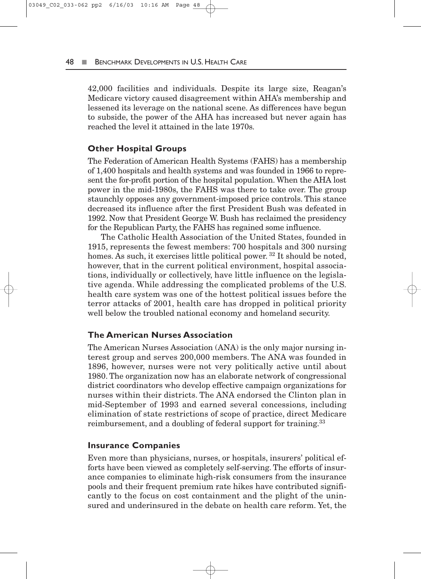42,000 facilities and individuals. Despite its large size, Reagan's Medicare victory caused disagreement within AHA's membership and lessened its leverage on the national scene. As differences have begun to subside, the power of the AHA has increased but never again has reached the level it attained in the late 1970s.

#### **Other Hospital Groups**

The Federation of American Health Systems (FAHS) has a membership of 1,400 hospitals and health systems and was founded in 1966 to represent the for-profit portion of the hospital population. When the AHA lost power in the mid-1980s, the FAHS was there to take over. The group staunchly opposes any government-imposed price controls. This stance decreased its influence after the first President Bush was defeated in 1992. Now that President George W. Bush has reclaimed the presidency for the Republican Party, the FAHS has regained some influence.

The Catholic Health Association of the United States, founded in 1915, represents the fewest members: 700 hospitals and 300 nursing homes. As such, it exercises little political power. <sup>32</sup> It should be noted, however, that in the current political environment, hospital associations, individually or collectively, have little influence on the legislative agenda. While addressing the complicated problems of the U.S. health care system was one of the hottest political issues before the terror attacks of 2001, health care has dropped in political priority well below the troubled national economy and homeland security.

#### **The American Nurses Association**

The American Nurses Association (ANA) is the only major nursing interest group and serves 200,000 members. The ANA was founded in 1896, however, nurses were not very politically active until about 1980. The organization now has an elaborate network of congressional district coordinators who develop effective campaign organizations for nurses within their districts. The ANA endorsed the Clinton plan in mid-September of 1993 and earned several concessions, including elimination of state restrictions of scope of practice, direct Medicare reimbursement, and a doubling of federal support for training.<sup>33</sup>

#### **Insurance Companies**

Even more than physicians, nurses, or hospitals, insurers' political efforts have been viewed as completely self-serving. The efforts of insurance companies to eliminate high-risk consumers from the insurance pools and their frequent premium rate hikes have contributed significantly to the focus on cost containment and the plight of the uninsured and underinsured in the debate on health care reform. Yet, the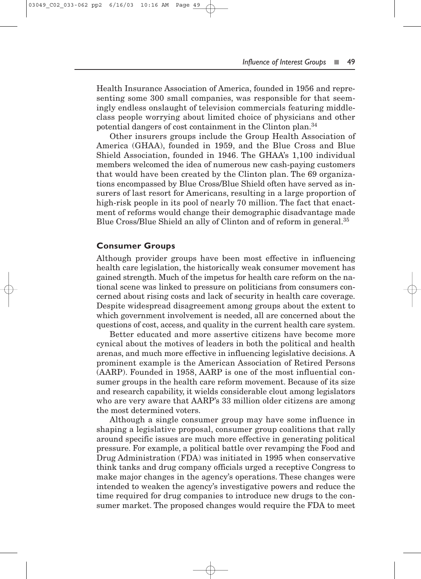Health Insurance Association of America, founded in 1956 and representing some 300 small companies, was responsible for that seemingly endless onslaught of television commercials featuring middleclass people worrying about limited choice of physicians and other potential dangers of cost containment in the Clinton plan.34

Other insurers groups include the Group Health Association of America (GHAA), founded in 1959, and the Blue Cross and Blue Shield Association, founded in 1946. The GHAA's 1,100 individual members welcomed the idea of numerous new cash-paying customers that would have been created by the Clinton plan. The 69 organizations encompassed by Blue Cross/Blue Shield often have served as insurers of last resort for Americans, resulting in a large proportion of high-risk people in its pool of nearly 70 million. The fact that enactment of reforms would change their demographic disadvantage made Blue Cross/Blue Shield an ally of Clinton and of reform in general.<sup>35</sup>

#### **Consumer Groups**

Although provider groups have been most effective in influencing health care legislation, the historically weak consumer movement has gained strength. Much of the impetus for health care reform on the national scene was linked to pressure on politicians from consumers concerned about rising costs and lack of security in health care coverage. Despite widespread disagreement among groups about the extent to which government involvement is needed, all are concerned about the questions of cost, access, and quality in the current health care system.

Better educated and more assertive citizens have become more cynical about the motives of leaders in both the political and health arenas, and much more effective in influencing legislative decisions. A prominent example is the American Association of Retired Persons (AARP). Founded in 1958, AARP is one of the most influential consumer groups in the health care reform movement. Because of its size and research capability, it wields considerable clout among legislators who are very aware that AARP's 33 million older citizens are among the most determined voters.

Although a single consumer group may have some influence in shaping a legislative proposal, consumer group coalitions that rally around specific issues are much more effective in generating political pressure. For example, a political battle over revamping the Food and Drug Administration (FDA) was initiated in 1995 when conservative think tanks and drug company officials urged a receptive Congress to make major changes in the agency's operations. These changes were intended to weaken the agency's investigative powers and reduce the time required for drug companies to introduce new drugs to the consumer market. The proposed changes would require the FDA to meet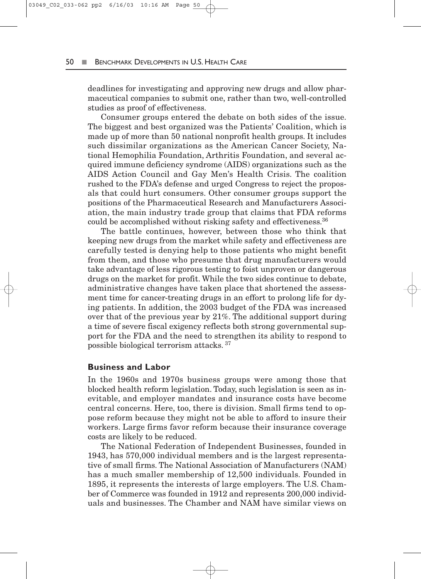deadlines for investigating and approving new drugs and allow pharmaceutical companies to submit one, rather than two, well-controlled studies as proof of effectiveness.

Consumer groups entered the debate on both sides of the issue. The biggest and best organized was the Patients' Coalition, which is made up of more than 50 national nonprofit health groups. It includes such dissimilar organizations as the American Cancer Society, National Hemophilia Foundation, Arthritis Foundation, and several acquired immune deficiency syndrome (AIDS) organizations such as the AIDS Action Council and Gay Men's Health Crisis. The coalition rushed to the FDA's defense and urged Congress to reject the proposals that could hurt consumers. Other consumer groups support the positions of the Pharmaceutical Research and Manufacturers Association, the main industry trade group that claims that FDA reforms could be accomplished without risking safety and effectiveness.<sup>36</sup>

The battle continues, however, between those who think that keeping new drugs from the market while safety and effectiveness are carefully tested is denying help to those patients who might benefit from them, and those who presume that drug manufacturers would take advantage of less rigorous testing to foist unproven or dangerous drugs on the market for profit. While the two sides continue to debate, administrative changes have taken place that shortened the assessment time for cancer-treating drugs in an effort to prolong life for dying patients. In addition, the 2003 budget of the FDA was increased over that of the previous year by 21%. The additional support during a time of severe fiscal exigency reflects both strong governmental support for the FDA and the need to strengthen its ability to respond to possible biological terrorism attacks. <sup>37</sup>

#### **Business and Labor**

In the 1960s and 1970s business groups were among those that blocked health reform legislation. Today, such legislation is seen as inevitable, and employer mandates and insurance costs have become central concerns. Here, too, there is division. Small firms tend to oppose reform because they might not be able to afford to insure their workers. Large firms favor reform because their insurance coverage costs are likely to be reduced.

The National Federation of Independent Businesses, founded in 1943, has 570,000 individual members and is the largest representative of small firms. The National Association of Manufacturers (NAM) has a much smaller membership of 12,500 individuals. Founded in 1895, it represents the interests of large employers. The U.S. Chamber of Commerce was founded in 1912 and represents 200,000 individuals and businesses. The Chamber and NAM have similar views on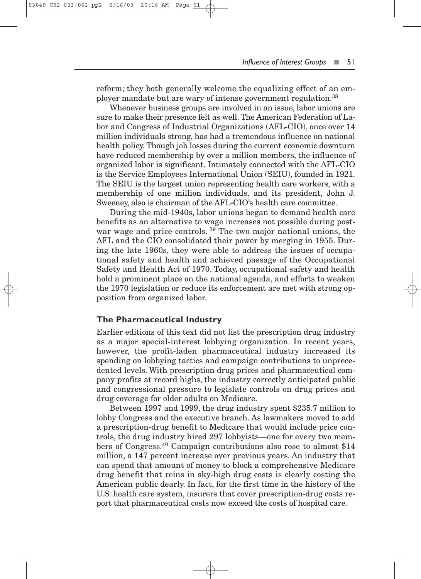reform; they both generally welcome the equalizing effect of an employer mandate but are wary of intense government regulation.38

Whenever business groups are involved in an issue, labor unions are sure to make their presence felt as well. The American Federation of Labor and Congress of Industrial Organizations (AFL-CIO), once over 14 million individuals strong, has had a tremendous influence on national health policy. Though job losses during the current economic downturn have reduced membership by over a million members, the influence of organized labor is significant. Intimately connected with the AFL-CIO is the Service Employees International Union (SEIU), founded in 1921. The SEIU is the largest union representing health care workers, with a membership of one million individuals, and its president, John J. Sweeney, also is chairman of the AFL-CIO's health care committee.

During the mid-1940s, labor unions began to demand health care benefits as an alternative to wage increases not possible during postwar wage and price controls. <sup>39</sup> The two major national unions, the AFL and the CIO consolidated their power by merging in 1955. During the late 1960s, they were able to address the issues of occupational safety and health and achieved passage of the Occupational Safety and Health Act of 1970. Today, occupational safety and health hold a prominent place on the national agenda, and efforts to weaken the 1970 legislation or reduce its enforcement are met with strong opposition from organized labor.

#### **The Pharmaceutical Industry**

Earlier editions of this text did not list the prescription drug industry as a major special-interest lobbying organization. In recent years, however, the profit-laden pharmaceutical industry increased its spending on lobbying tactics and campaign contributions to unprecedented levels. With prescription drug prices and pharmaceutical company profits at record highs, the industry correctly anticipated public and congressional pressure to legislate controls on drug prices and drug coverage for older adults on Medicare.

Between 1997 and 1999, the drug industry spent \$235.7 million to lobby Congress and the executive branch. As lawmakers moved to add a prescription-drug benefit to Medicare that would include price controls, the drug industry hired 297 lobbyists—one for every two members of Congress.40 Campaign contributions also rose to almost \$14 million, a 147 percent increase over previous years. An industry that can spend that amount of money to block a comprehensive Medicare drug benefit that reins in sky-high drug costs is clearly costing the American public dearly. In fact, for the first time in the history of the U.S. health care system, insurers that cover prescription-drug costs report that pharmaceutical costs now exceed the costs of hospital care.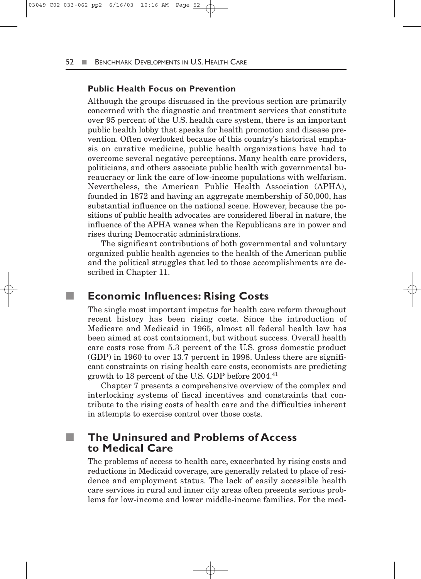## **Public Health Focus on Prevention**

Although the groups discussed in the previous section are primarily concerned with the diagnostic and treatment services that constitute over 95 percent of the U.S. health care system, there is an important public health lobby that speaks for health promotion and disease prevention. Often overlooked because of this country's historical emphasis on curative medicine, public health organizations have had to overcome several negative perceptions. Many health care providers, politicians, and others associate public health with governmental bureaucracy or link the care of low-income populations with welfarism. Nevertheless, the American Public Health Association (APHA), founded in 1872 and having an aggregate membership of 50,000, has substantial influence on the national scene. However, because the positions of public health advocates are considered liberal in nature, the influence of the APHA wanes when the Republicans are in power and rises during Democratic administrations.

The significant contributions of both governmental and voluntary organized public health agencies to the health of the American public and the political struggles that led to those accomplishments are described in Chapter 11.

## **Economic Influences: Rising Costs**

The single most important impetus for health care reform throughout recent history has been rising costs. Since the introduction of Medicare and Medicaid in 1965, almost all federal health law has been aimed at cost containment, but without success. Overall health care costs rose from 5.3 percent of the U.S. gross domestic product (GDP) in 1960 to over 13.7 percent in 1998. Unless there are significant constraints on rising health care costs, economists are predicting growth to 18 percent of the U.S. GDP before 2004.41

Chapter 7 presents a comprehensive overview of the complex and interlocking systems of fiscal incentives and constraints that contribute to the rising costs of health care and the difficulties inherent in attempts to exercise control over those costs.

## ■ **The Uninsured and Problems of Access to Medical Care**

The problems of access to health care, exacerbated by rising costs and reductions in Medicaid coverage, are generally related to place of residence and employment status. The lack of easily accessible health care services in rural and inner city areas often presents serious problems for low-income and lower middle-income families. For the med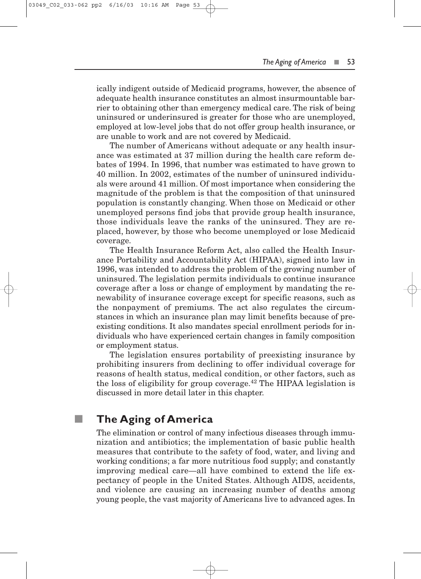ically indigent outside of Medicaid programs, however, the absence of adequate health insurance constitutes an almost insurmountable barrier to obtaining other than emergency medical care. The risk of being uninsured or underinsured is greater for those who are unemployed, employed at low-level jobs that do not offer group health insurance, or are unable to work and are not covered by Medicaid.

The number of Americans without adequate or any health insurance was estimated at 37 million during the health care reform debates of 1994. In 1996, that number was estimated to have grown to 40 million. In 2002, estimates of the number of uninsured individuals were around 41 million. Of most importance when considering the magnitude of the problem is that the composition of that uninsured population is constantly changing. When those on Medicaid or other unemployed persons find jobs that provide group health insurance, those individuals leave the ranks of the uninsured. They are replaced, however, by those who become unemployed or lose Medicaid coverage.

The Health Insurance Reform Act, also called the Health Insurance Portability and Accountability Act (HIPAA), signed into law in 1996, was intended to address the problem of the growing number of uninsured. The legislation permits individuals to continue insurance coverage after a loss or change of employment by mandating the renewability of insurance coverage except for specific reasons, such as the nonpayment of premiums. The act also regulates the circumstances in which an insurance plan may limit benefits because of preexisting conditions. It also mandates special enrollment periods for individuals who have experienced certain changes in family composition or employment status.

The legislation ensures portability of preexisting insurance by prohibiting insurers from declining to offer individual coverage for reasons of health status, medical condition, or other factors, such as the loss of eligibility for group coverage.42 The HIPAA legislation is discussed in more detail later in this chapter.

## **The Aging of America**

The elimination or control of many infectious diseases through immunization and antibiotics; the implementation of basic public health measures that contribute to the safety of food, water, and living and working conditions; a far more nutritious food supply; and constantly improving medical care—all have combined to extend the life expectancy of people in the United States. Although AIDS, accidents, and violence are causing an increasing number of deaths among young people, the vast majority of Americans live to advanced ages. In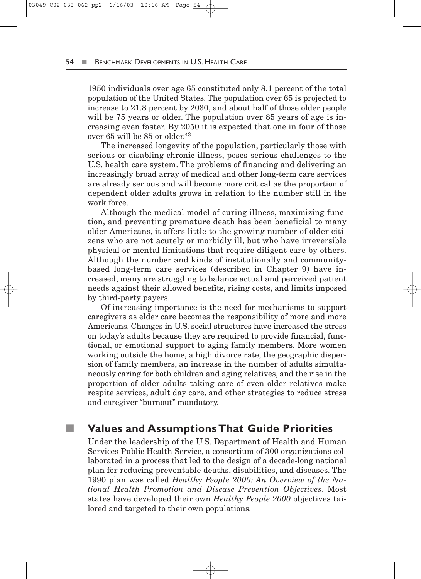03049 C02 033-062 pp2 6/16/03 10:16 AM

1950 individuals over age 65 constituted only 8.1 percent of the total population of the United States. The population over 65 is projected to increase to 21.8 percent by 2030, and about half of those older people will be 75 years or older. The population over 85 years of age is increasing even faster. By 2050 it is expected that one in four of those over 65 will be 85 or older.<sup>43</sup>

The increased longevity of the population, particularly those with serious or disabling chronic illness, poses serious challenges to the U.S. health care system. The problems of financing and delivering an increasingly broad array of medical and other long-term care services are already serious and will become more critical as the proportion of dependent older adults grows in relation to the number still in the work force.

Although the medical model of curing illness, maximizing function, and preventing premature death has been beneficial to many older Americans, it offers little to the growing number of older citizens who are not acutely or morbidly ill, but who have irreversible physical or mental limitations that require diligent care by others. Although the number and kinds of institutionally and communitybased long-term care services (described in Chapter 9) have increased, many are struggling to balance actual and perceived patient needs against their allowed benefits, rising costs, and limits imposed by third-party payers.

Of increasing importance is the need for mechanisms to support caregivers as elder care becomes the responsibility of more and more Americans. Changes in U.S. social structures have increased the stress on today's adults because they are required to provide financial, functional, or emotional support to aging family members. More women working outside the home, a high divorce rate, the geographic dispersion of family members, an increase in the number of adults simultaneously caring for both children and aging relatives, and the rise in the proportion of older adults taking care of even older relatives make respite services, adult day care, and other strategies to reduce stress and caregiver "burnout" mandatory.

## **Values and Assumptions That Guide Priorities**

Under the leadership of the U.S. Department of Health and Human Services Public Health Service, a consortium of 300 organizations collaborated in a process that led to the design of a decade-long national plan for reducing preventable deaths, disabilities, and diseases. The 1990 plan was called *Healthy People 2000: An Overview of the National Health Promotion and Disease Prevention Objectives*. Most states have developed their own *Healthy People 2000* objectives tailored and targeted to their own populations.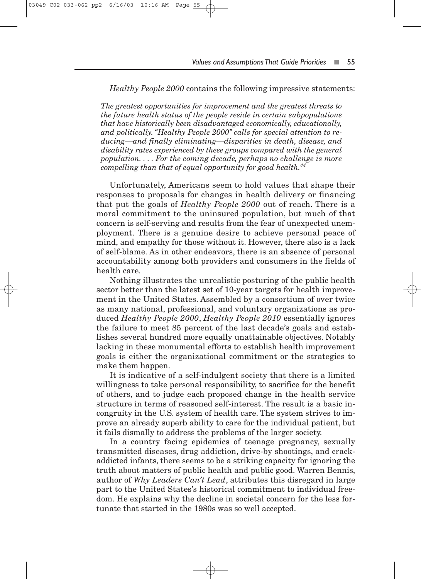#### *Healthy People 2000* contains the following impressive statements:

*The greatest opportunities for improvement and the greatest threats to the future health status of the people reside in certain subpopulations that have historically been disadvantaged economically, educationally, and politically. "Healthy People 2000" calls for special attention to reducing—and finally eliminating—disparities in death, disease, and disability rates experienced by these groups compared with the general population. . . . For the coming decade, perhaps no challenge is more compelling than that of equal opportunity for good health.44*

Unfortunately, Americans seem to hold values that shape their responses to proposals for changes in health delivery or financing that put the goals of *Healthy People 2000* out of reach. There is a moral commitment to the uninsured population, but much of that concern is self-serving and results from the fear of unexpected unemployment. There is a genuine desire to achieve personal peace of mind, and empathy for those without it. However, there also is a lack of self-blame. As in other endeavors, there is an absence of personal accountability among both providers and consumers in the fields of health care.

Nothing illustrates the unrealistic posturing of the public health sector better than the latest set of 10-year targets for health improvement in the United States. Assembled by a consortium of over twice as many national, professional, and voluntary organizations as produced *Healthy People 2000*, *Healthy People 2010* essentially ignores the failure to meet 85 percent of the last decade's goals and establishes several hundred more equally unattainable objectives. Notably lacking in these monumental efforts to establish health improvement goals is either the organizational commitment or the strategies to make them happen.

It is indicative of a self-indulgent society that there is a limited willingness to take personal responsibility, to sacrifice for the benefit of others, and to judge each proposed change in the health service structure in terms of reasoned self-interest. The result is a basic incongruity in the U.S. system of health care. The system strives to improve an already superb ability to care for the individual patient, but it fails dismally to address the problems of the larger society.

In a country facing epidemics of teenage pregnancy, sexually transmitted diseases, drug addiction, drive-by shootings, and crackaddicted infants, there seems to be a striking capacity for ignoring the truth about matters of public health and public good. Warren Bennis, author of *Why Leaders Can't Lead*, attributes this disregard in large part to the United States's historical commitment to individual freedom. He explains why the decline in societal concern for the less fortunate that started in the 1980s was so well accepted.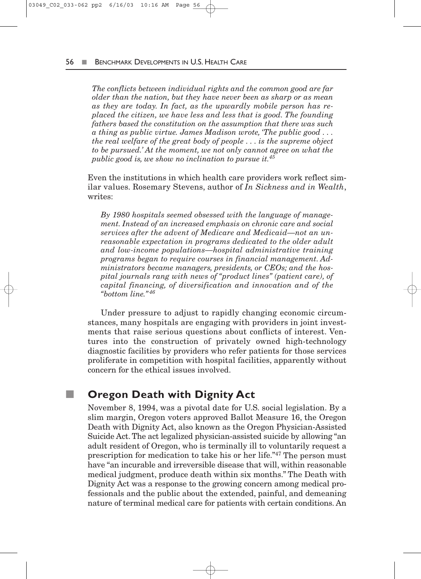*The conflicts between individual rights and the common good are far older than the nation, but they have never been as sharp or as mean as they are today. In fact, as the upwardly mobile person has replaced the citizen, we have less and less that is good. The founding fathers based the constitution on the assumption that there was such a thing as public virtue. James Madison wrote, 'The public good . . . the real welfare of the great body of people . . . is the supreme object to be pursued.' At the moment, we not only cannot agree on what the public good is, we show no inclination to pursue it.45*

Even the institutions in which health care providers work reflect similar values. Rosemary Stevens, author of *In Sickness and in Wealth*, writes:

*By 1980 hospitals seemed obsessed with the language of management. Instead of an increased emphasis on chronic care and social services after the advent of Medicare and Medicaid—not an unreasonable expectation in programs dedicated to the older adult and low-income populations—hospital administrative training programs began to require courses in financial management. Administrators became managers, presidents, or CEOs; and the hospital journals rang with news of "product lines" (patient care), of capital financing, of diversification and innovation and of the "bottom line." <sup>46</sup>*

Under pressure to adjust to rapidly changing economic circumstances, many hospitals are engaging with providers in joint investments that raise serious questions about conflicts of interest. Ventures into the construction of privately owned high-technology diagnostic facilities by providers who refer patients for those services proliferate in competition with hospital facilities, apparently without concern for the ethical issues involved.

## ■ **Oregon Death with Dignity Act**

November 8, 1994, was a pivotal date for U.S. social legislation. By a slim margin, Oregon voters approved Ballot Measure 16, the Oregon Death with Dignity Act, also known as the Oregon Physician-Assisted Suicide Act. The act legalized physician-assisted suicide by allowing "an adult resident of Oregon, who is terminally ill to voluntarily request a prescription for medication to take his or her life."47 The person must have "an incurable and irreversible disease that will, within reasonable medical judgment, produce death within six months." The Death with Dignity Act was a response to the growing concern among medical professionals and the public about the extended, painful, and demeaning nature of terminal medical care for patients with certain conditions. An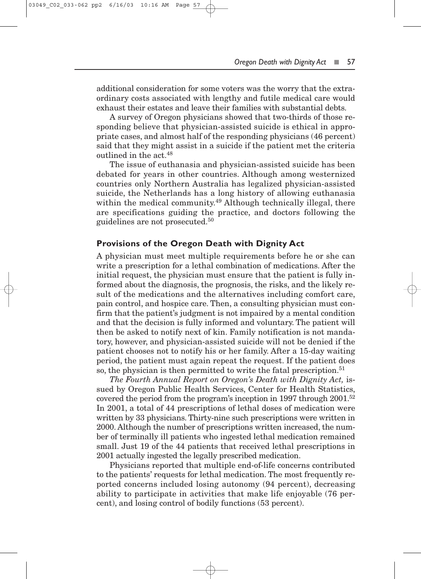additional consideration for some voters was the worry that the extraordinary costs associated with lengthy and futile medical care would exhaust their estates and leave their families with substantial debts.

A survey of Oregon physicians showed that two-thirds of those responding believe that physician-assisted suicide is ethical in appropriate cases, and almost half of the responding physicians (46 percent) said that they might assist in a suicide if the patient met the criteria outlined in the act.48

The issue of euthanasia and physician-assisted suicide has been debated for years in other countries. Although among westernized countries only Northern Australia has legalized physician-assisted suicide, the Netherlands has a long history of allowing euthanasia within the medical community.<sup>49</sup> Although technically illegal, there are specifications guiding the practice, and doctors following the guidelines are not prosecuted.50

#### **Provisions of the Oregon Death with Dignity Act**

A physician must meet multiple requirements before he or she can write a prescription for a lethal combination of medications. After the initial request, the physician must ensure that the patient is fully informed about the diagnosis, the prognosis, the risks, and the likely result of the medications and the alternatives including comfort care, pain control, and hospice care. Then, a consulting physician must confirm that the patient's judgment is not impaired by a mental condition and that the decision is fully informed and voluntary. The patient will then be asked to notify next of kin. Family notification is not mandatory, however, and physician-assisted suicide will not be denied if the patient chooses not to notify his or her family. After a 15-day waiting period, the patient must again repeat the request. If the patient does so, the physician is then permitted to write the fatal prescription.<sup>51</sup>

*The Fourth Annual Report on Oregon's Death with Dignity Act,* issued by Oregon Public Health Services, Center for Health Statistics, covered the period from the program's inception in 1997 through 2001.52 In 2001, a total of 44 prescriptions of lethal doses of medication were written by 33 physicians. Thirty-nine such prescriptions were written in 2000. Although the number of prescriptions written increased, the number of terminally ill patients who ingested lethal medication remained small. Just 19 of the 44 patients that received lethal prescriptions in 2001 actually ingested the legally prescribed medication.

Physicians reported that multiple end-of-life concerns contributed to the patients' requests for lethal medication. The most frequently reported concerns included losing autonomy (94 percent), decreasing ability to participate in activities that make life enjoyable (76 percent), and losing control of bodily functions (53 percent).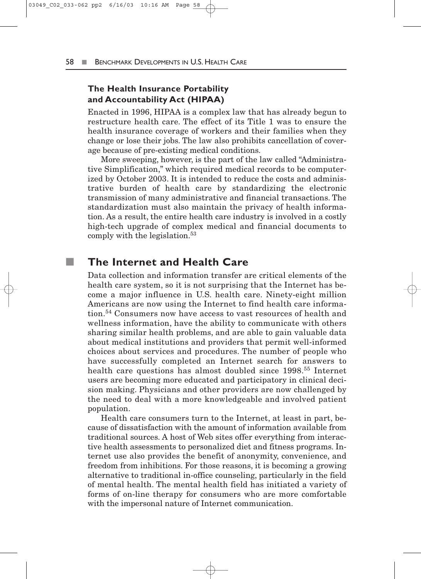## **The Health Insurance Portability and Accountability Act (HIPAA)**

Enacted in 1996, HIPAA is a complex law that has already begun to restructure health care. The effect of its Title 1 was to ensure the health insurance coverage of workers and their families when they change or lose their jobs. The law also prohibits cancellation of coverage because of pre-existing medical conditions.

More sweeping, however, is the part of the law called "Administrative Simplification," which required medical records to be computerized by October 2003. It is intended to reduce the costs and administrative burden of health care by standardizing the electronic transmission of many administrative and financial transactions. The standardization must also maintain the privacy of health information. As a result, the entire health care industry is involved in a costly high-tech upgrade of complex medical and financial documents to comply with the legislation.53

## ■ **The Internet and Health Care**

Data collection and information transfer are critical elements of the health care system, so it is not surprising that the Internet has become a major influence in U.S. health care. Ninety-eight million Americans are now using the Internet to find health care information.54 Consumers now have access to vast resources of health and wellness information, have the ability to communicate with others sharing similar health problems, and are able to gain valuable data about medical institutions and providers that permit well-informed choices about services and procedures. The number of people who have successfully completed an Internet search for answers to health care questions has almost doubled since 1998.<sup>55</sup> Internet users are becoming more educated and participatory in clinical decision making. Physicians and other providers are now challenged by the need to deal with a more knowledgeable and involved patient population.

Health care consumers turn to the Internet, at least in part, because of dissatisfaction with the amount of information available from traditional sources. A host of Web sites offer everything from interactive health assessments to personalized diet and fitness programs. Internet use also provides the benefit of anonymity, convenience, and freedom from inhibitions. For those reasons, it is becoming a growing alternative to traditional in-office counseling, particularly in the field of mental health. The mental health field has initiated a variety of forms of on-line therapy for consumers who are more comfortable with the impersonal nature of Internet communication.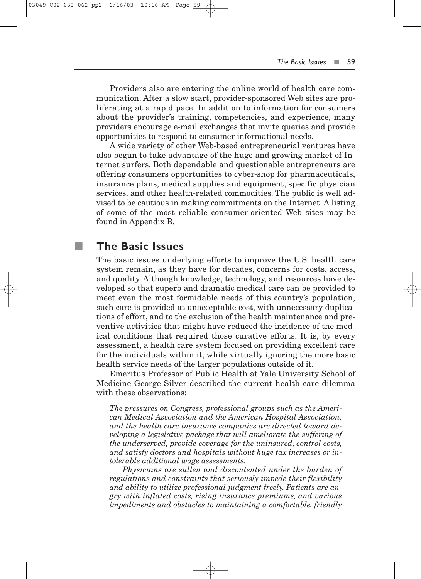Providers also are entering the online world of health care communication. After a slow start, provider-sponsored Web sites are proliferating at a rapid pace. In addition to information for consumers about the provider's training, competencies, and experience, many providers encourage e-mail exchanges that invite queries and provide opportunities to respond to consumer informational needs.

A wide variety of other Web-based entrepreneurial ventures have also begun to take advantage of the huge and growing market of Internet surfers. Both dependable and questionable entrepreneurs are offering consumers opportunities to cyber-shop for pharmaceuticals, insurance plans, medical supplies and equipment, specific physician services, and other health-related commodities. The public is well advised to be cautious in making commitments on the Internet. A listing of some of the most reliable consumer-oriented Web sites may be found in Appendix B.

## ■ **The Basic Issues**

The basic issues underlying efforts to improve the U.S. health care system remain, as they have for decades, concerns for costs, access, and quality. Although knowledge, technology, and resources have developed so that superb and dramatic medical care can be provided to meet even the most formidable needs of this country's population, such care is provided at unacceptable cost, with unnecessary duplications of effort, and to the exclusion of the health maintenance and preventive activities that might have reduced the incidence of the medical conditions that required those curative efforts. It is, by every assessment, a health care system focused on providing excellent care for the individuals within it, while virtually ignoring the more basic health service needs of the larger populations outside of it.

Emeritus Professor of Public Health at Yale University School of Medicine George Silver described the current health care dilemma with these observations:

*The pressures on Congress, professional groups such as the American Medical Association and the American Hospital Association, and the health care insurance companies are directed toward developing a legislative package that will ameliorate the suffering of the underserved, provide coverage for the uninsured, control costs, and satisfy doctors and hospitals without huge tax increases or intolerable additional wage assessments.*

*Physicians are sullen and discontented under the burden of regulations and constraints that seriously impede their flexibility and ability to utilize professional judgment freely. Patients are angry with inflated costs, rising insurance premiums, and various impediments and obstacles to maintaining a comfortable, friendly*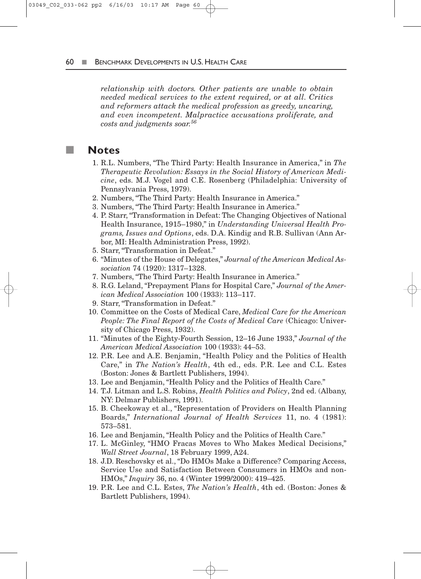*relationship with doctors. Other patients are unable to obtain needed medical services to the extent required, or at all. Critics and reformers attack the medical profession as greedy, uncaring, and even incompetent. Malpractice accusations proliferate, and costs and judgments soar.56*

### ■ **Notes**

- 1. R.L. Numbers, "The Third Party: Health Insurance in America," in *The Therapeutic Revolution: Essays in the Social History of American Medicine*, eds. M.J. Vogel and C.E. Rosenberg (Philadelphia: University of Pennsylvania Press, 1979).
- 2. Numbers, "The Third Party: Health Insurance in America."
- 3. Numbers, "The Third Party: Health Insurance in America."
- 4. P. Starr, "Transformation in Defeat: The Changing Objectives of National Health Insurance, 1915–1980," in *Understanding Universal Health Programs, Issues and Options*, eds. D.A. Kindig and R.B. Sullivan (Ann Arbor, MI: Health Administration Press, 1992).
- 5. Starr, "Transformation in Defeat."
- 6. "Minutes of the House of Delegates," *Journal of the American Medical Association* 74 (1920): 1317–1328.
- 7. Numbers, "The Third Party: Health Insurance in America."
- 8. R.G. Leland, "Prepayment Plans for Hospital Care," *Journal of the American Medical Association* 100 (1933): 113–117.
- 9. Starr, "Transformation in Defeat."
- 10. Committee on the Costs of Medical Care, *Medical Care for the American People: The Final Report of the Costs of Medical Care* (Chicago: University of Chicago Press, 1932).
- 11. "Minutes of the Eighty-Fourth Session, 12–16 June 1933," *Journal of the American Medical Association* 100 (1933): 44–53.
- 12. P.R. Lee and A.E. Benjamin, "Health Policy and the Politics of Health Care," in *The Nation's Health*, 4th ed., eds. P.R. Lee and C.L. Estes (Boston: Jones & Bartlett Publishers, 1994).
- 13. Lee and Benjamin, "Health Policy and the Politics of Health Care."
- 14. T.J. Litman and L.S. Robins, *Health Politics and Policy*, 2nd ed. (Albany, NY: Delmar Publishers, 1991).
- 15. B. Cheekoway et al., "Representation of Providers on Health Planning Boards," *International Journal of Health Services* 11, no. 4 (1981): 573–581.
- 16. Lee and Benjamin, "Health Policy and the Politics of Health Care."
- 17. L. McGinley, "HMO Fracas Moves to Who Makes Medical Decisions," *Wall Street Journal*, 18 February 1999, A24.
- 18. J.D. Reschovsky et al., "Do HMOs Make a Difference? Comparing Access, Service Use and Satisfaction Between Consumers in HMOs and non-HMOs," *Inquiry* 36, no. 4 (Winter 1999/2000): 419–425.
- 19. P.R. Lee and C.L. Estes, *The Nation's Health*, 4th ed. (Boston: Jones & Bartlett Publishers, 1994).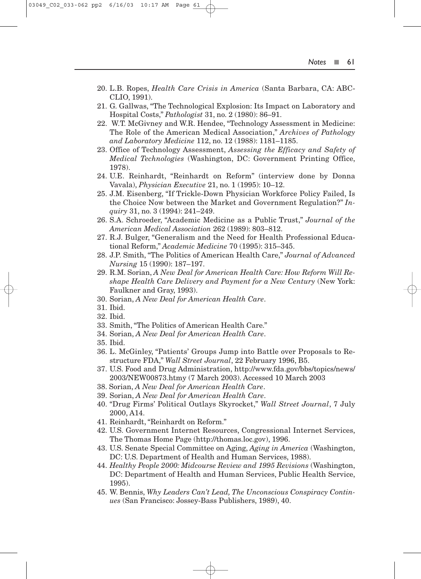03049 C02 033-062 pp2 6/16/03 10:17 AM Page

- 20. L.B. Ropes, *Health Care Crisis in America* (Santa Barbara, CA: ABC-CLIO, 1991).
- 21. G. Gallwas, "The Technological Explosion: Its Impact on Laboratory and Hospital Costs," *Pathologist* 31, no. 2 (1980): 86–91.
- 22. W.T. McGivney and W.R. Hendee, "Technology Assessment in Medicine: The Role of the American Medical Association," *Archives of Pathology and Laboratory Medicine* 112, no. 12 (1988): 1181–1185.
- 23. Office of Technology Assessment, *Assessing the Efficacy and Safety of Medical Technologies* (Washington, DC: Government Printing Office, 1978).
- 24. U.E. Reinhardt, "Reinhardt on Reform" (interview done by Donna Vavala), *Physician Executive* 21, no. 1 (1995): 10–12.
- 25. J.M. Eisenberg, "If Trickle-Down Physician Workforce Policy Failed, Is the Choice Now between the Market and Government Regulation?" *Inquiry* 31, no. 3 (1994): 241–249.
- 26. S.A. Schroeder, "Academic Medicine as a Public Trust," *Journal of the American Medical Association* 262 (1989): 803–812.
- 27. R.J. Bulger, "Generalism and the Need for Health Professional Educational Reform," *Academic Medicine* 70 (1995): 315–345.
- 28. J.P. Smith, "The Politics of American Health Care," *Journal of Advanced Nursing* 15 (1990): 187–197.
- 29. R.M. Sorian, *A New Deal for American Health Care: How Reform Will Reshape Health Care Delivery and Payment for a New Century* (New York: Faulkner and Gray, 1993).
- 30. Sorian, *A New Deal for American Health Care*.
- 31. Ibid.
- 32. Ibid.
- 33. Smith, "The Politics of American Health Care."
- 34. Sorian, *A New Deal for American Health Care*.
- 35. Ibid.
- 36. L. McGinley, "Patients' Groups Jump into Battle over Proposals to Restructure FDA," *Wall Street Journal*, 22 February 1996, B5.
- 37. U.S. Food and Drug Administration, http://www.fda.gov/bbs/topics/news/ 2003/NEW00873.htmy (7 March 2003). Accessed 10 March 2003
- 38. Sorian, *A New Deal for American Health Care*.
- 39. Sorian, *A New Deal for American Health Care*.
- 40. "Drug Firms' Political Outlays Skyrocket," *Wall Street Journal*, 7 July 2000, A14.
- 41. Reinhardt, "Reinhardt on Reform."
- 42. U.S. Government Internet Resources, Congressional Internet Services, The Thomas Home Page (http://thomas.loc.gov), 1996.
- 43. U.S. Senate Special Committee on Aging, *Aging in America* (Washington, DC: U.S. Department of Health and Human Services, 1988).
- 44. *Healthy People 2000: Midcourse Review and 1995 Revisions* (Washington, DC: Department of Health and Human Services, Public Health Service, 1995).
- 45. W. Bennis, *Why Leaders Can't Lead, The Unconscious Conspiracy Continues* (San Francisco: Jossey-Bass Publishers, 1989), 40.